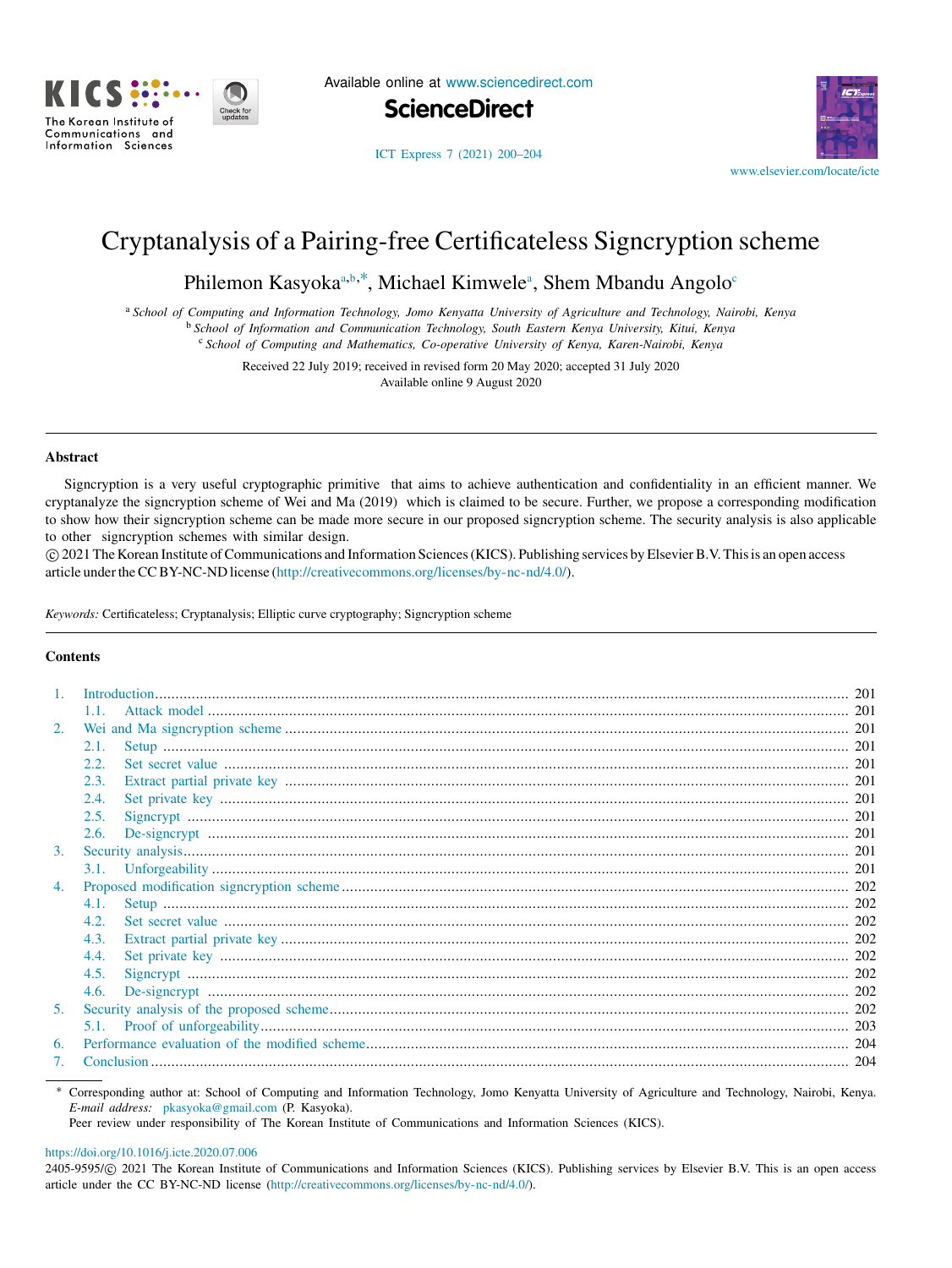

Available online at [www.sciencedirect.com](http://www.elsevier.com/locate/icte)



[www.elsevier.com/locate/icte](http://www.elsevier.com/locate/icte)

# [ICT Express 7 \(2021\) 200–204](https://doi.org/10.1016/j.icte.2020.07.006)

# Cryptanalysis of a Pairing-free Certificateless Signcryption scheme

Philemon K[a](#page-0-0)syoka<sup>a,[b](#page-0-1),\*</sup>, Mi[c](#page-0-3)hael Kimwele<sup>a</sup>, Shem Mbandu Angolo<sup>6</sup>

<span id="page-0-0"></span><sup>a</sup> *School of Computing and Information Technology, Jomo Kenyatta University of Agriculture and Technology, Nairobi, Kenya* <sup>b</sup> *School of Information and Communication Technology, South Eastern Kenya University, Kitui, Kenya*

<span id="page-0-3"></span><span id="page-0-1"></span><sup>c</sup> *School of Computing and Mathematics, Co-operative University of Kenya, Karen-Nairobi, Kenya*

Received 22 July 2019; received in revised form 20 May 2020; accepted 31 July 2020 Available online 9 August 2020

## Abstract

Signcryption is a very useful cryptographic primitive that aims to achieve authentication and confidentiality in an efficient manner. We cryptanalyze the signcryption scheme of Wei and Ma (2019) which is claimed to be secure. Further, we propose a corresponding modification to show how their signcryption scheme can be made more secure in our proposed signcryption scheme. The security analysis is also applicable to other signcryption schemes with similar design.

⃝c 2021 The Korean Institute of Communications and Information Sciences (KICS). Publishing services by Elsevier B.V. This is an open access article under the CC BY-NC-ND license [\(http://creativecommons.org/licenses/by-nc-nd/4.0/](http://creativecommons.org/licenses/by-nc-nd/4.0/)).

*Keywords:* Certificateless; Cryptanalysis; Elliptic curve cryptography; Signcryption scheme

## Contents

|    | Introduction. |  |
|----|---------------|--|
|    | 1.1.          |  |
| 2. |               |  |
|    | 2.1.          |  |
|    | 2.2.          |  |
|    | 2.3.          |  |
|    | 2.4.          |  |
|    | 2.5.          |  |
|    | 2.6.          |  |
| 3. |               |  |
|    | 3.1.          |  |
| 4. |               |  |
|    | 4.1.          |  |
|    | 4.2.          |  |
|    | 4.3.          |  |
|    | 4.4.          |  |
|    | 4.5.          |  |
|    | 4.6.          |  |
| 5. |               |  |
|    |               |  |
| 6. |               |  |
|    |               |  |
|    |               |  |

<span id="page-0-2"></span><sup>∗</sup> Corresponding author at: School of Computing and Information Technology, Jomo Kenyatta University of Agriculture and Technology, Nairobi, Kenya. *E-mail address:* [pkasyoka@gmail.com](mailto:pkasyoka@gmail.com) (P. Kasyoka).

Peer review under responsibility of The Korean Institute of Communications and Information Sciences (KICS).

## <https://doi.org/10.1016/j.icte.2020.07.006>

2405-9595/© 2021 The Korean Institute of Communications and Information Sciences (KICS). Publishing services by Elsevier B.V. This is an open access article under the CC BY-NC-ND license ([http://creativecommons.org/licenses/by-nc-nd/4.0/\)](http://creativecommons.org/licenses/by-nc-nd/4.0/).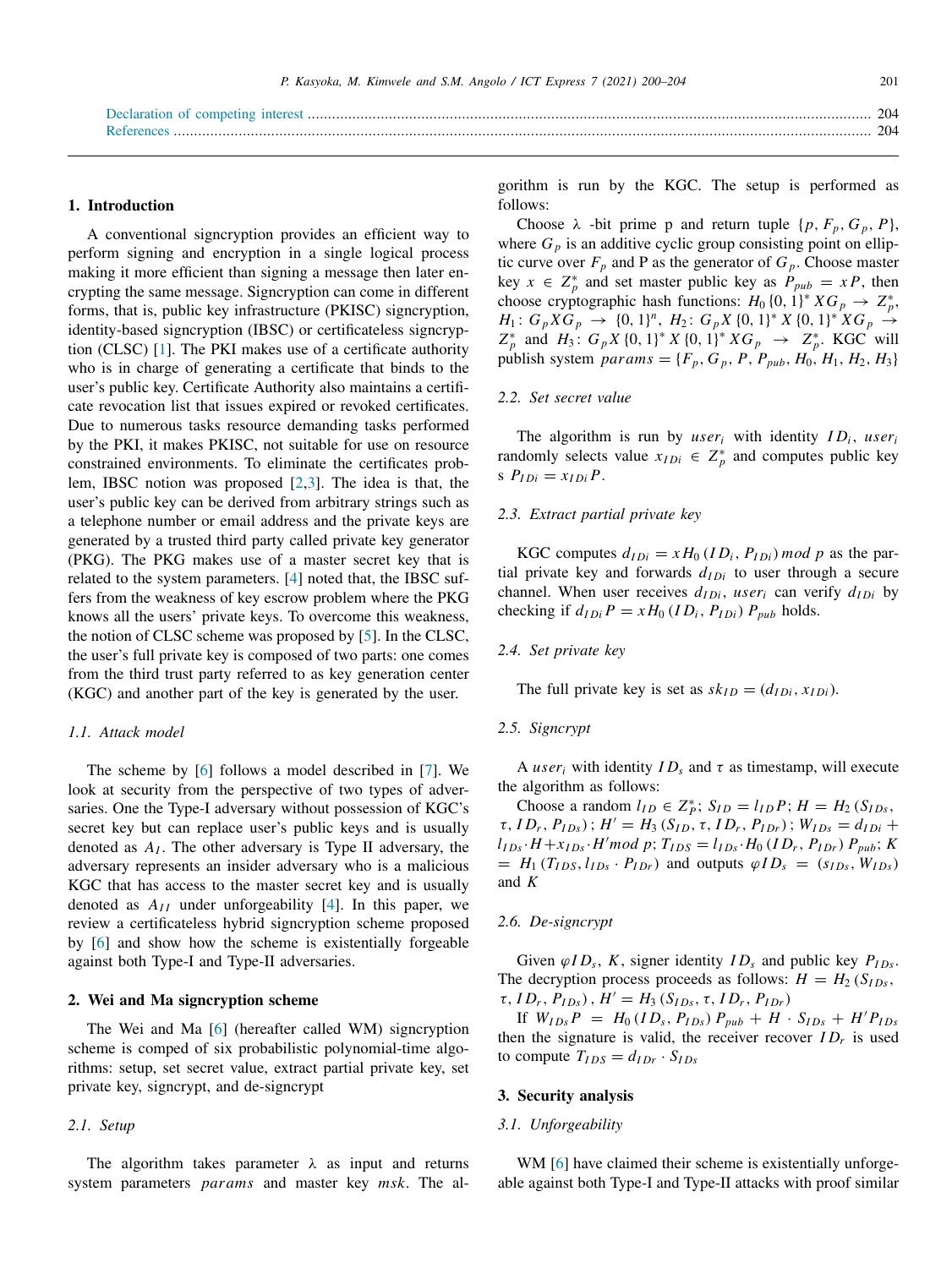#### <span id="page-1-0"></span>1. Introduction

A conventional signcryption provides an efficient way to perform signing and encryption in a single logical process making it more efficient than signing a message then later encrypting the same message. Signcryption can come in different forms, that is, public key infrastructure (PKISC) signcryption, identity-based signcryption (IBSC) or certificateless signcryption (CLSC) [\[1](#page-4-4)]. The PKI makes use of a certificate authority who is in charge of generating a certificate that binds to the user's public key. Certificate Authority also maintains a certificate revocation list that issues expired or revoked certificates. Due to numerous tasks resource demanding tasks performed by the PKI, it makes PKISC, not suitable for use on resource constrained environments. To eliminate the certificates problem, IBSC notion was proposed [[2](#page-4-5)[,3](#page-4-6)]. The idea is that, the user's public key can be derived from arbitrary strings such as a telephone number or email address and the private keys are generated by a trusted third party called private key generator (PKG). The PKG makes use of a master secret key that is related to the system parameters. [\[4](#page-4-7)] noted that, the IBSC suffers from the weakness of key escrow problem where the PKG knows all the users' private keys. To overcome this weakness, the notion of CLSC scheme was proposed by [[5\]](#page-4-8). In the CLSC, the user's full private key is composed of two parts: one comes from the third trust party referred to as key generation center (KGC) and another part of the key is generated by the user.

#### <span id="page-1-1"></span>*1.1. Attack model*

The scheme by [\[6](#page-4-9)] follows a model described in [[7\]](#page-4-10). We look at security from the perspective of two types of adversaries. One the Type-I adversary without possession of KGC's secret key but can replace user's public keys and is usually denoted as *A<sup>I</sup>* . The other adversary is Type II adversary, the adversary represents an insider adversary who is a malicious KGC that has access to the master secret key and is usually denoted as  $A_{II}$  under unforgeability [[4\]](#page-4-7). In this paper, we review a certificateless hybrid signcryption scheme proposed by [[6\]](#page-4-9) and show how the scheme is existentially forgeable against both Type-I and Type-II adversaries.

## <span id="page-1-2"></span>2. Wei and Ma signcryption scheme

The Wei and Ma [\[6](#page-4-9)] (hereafter called WM) signcryption scheme is comped of six probabilistic polynomial-time algorithms: setup, set secret value, extract partial private key, set private key, signcrypt, and de-signcrypt

#### <span id="page-1-3"></span>*2.1. Setup*

The algorithm takes parameter  $\lambda$  as input and returns system parameters *params* and master key *msk*. The algorithm is run by the KGC. The setup is performed as follows:

Choose  $\lambda$  -bit prime p and return tuple  $\{p, F_p, G_p, P\}$ , where  $G_p$  is an additive cyclic group consisting point on elliptic curve over  $F_p$  and P as the generator of  $G_p$ . Choose master key  $x \in Z_p^*$  and set master public key as  $P_{pub} = xP$ , then choose cryptographic hash functions:  $H_0 \{0, 1\}^* X G_p \rightarrow Z_p^*$ ,  $H_1: G_p X G_p \rightarrow \{0, 1\}^n, H_2: G_p X \{0, 1\}^* X \{0, 1\}^* X G_p \rightarrow$  $Z_p^*$  and  $H_3$ :  $G_p X \{0, 1\}^* X \{0, 1\}^* X G_p \rightarrow Z_p^*$ . KGC will publish system  $params = \{F_p, G_p, P, P_{pub}, H_0, H_1, H_2, H_3\}$ 

#### <span id="page-1-4"></span>*2.2. Set secret value*

The algorithm is run by *user<sub>i</sub>* with identity  $ID_i$ , *user<sub>i</sub>* randomly selects value  $x_{IDi} \in Z_p^*$  and computes public key  $P_{IDi} = x_{IDi} P$ .

## <span id="page-1-5"></span>*2.3. Extract partial private key*

KGC computes  $d_{IDi} = x H_0 (ID_i, P_{IDi}) \mod p$  as the partial private key and forwards  $d_{IDi}$  to user through a secure channel. When user receives  $d_{IDi}$ , user<sub>*i*</sub> can verify  $d_{IDi}$  by checking if  $d_{IDi} P = x H_0 (ID_i, P_{IDi}) P_{pub}$  holds.

#### <span id="page-1-6"></span>*2.4. Set private key*

The full private key is set as  $sk_{ID} = (d_{IDi}, x_{IDi})$ .

## <span id="page-1-7"></span>*2.5. Signcrypt*

A *user*<sub>*i*</sub> with identity  $ID_s$  and  $\tau$  as timestamp, will execute the algorithm as follows:

Choose a random  $l_{ID} \in Z_P^*$ ;  $S_{ID} = l_{ID} P$ ;  $H = H_2 (S_{IDs},$  $\tau$ , *ID<sub>r</sub>*, *P<sub>IDs</sub>*);  $H' = H_3(S_{ID}, \tau, ID_r, P_{IDr})$ ;  $W_{IDs} = d_{IDi} +$  $l_{IDs} \cdot H + x_{IDs} \cdot H'mod \ p; T_{IDS} = l_{IDs} \cdot H_0 (ID_r, P_{IDr}) \ P_{pub}; K$  $= H_1(T_{IDS}, l_{IDs} \cdot P_{IDr})$  and outputs  $\varphi I D_s = (s_{IDs}, W_{IDs})$ and *K*

#### <span id="page-1-8"></span>*2.6. De-signcrypt*

Given  $\varphi I D_s$ , *K*, signer identity  $ID_s$  and public key  $P_{IDs}$ . The decryption process proceeds as follows:  $H = H_2(S_{IDs},$  $\tau$ ,  $ID_r$ ,  $P_{IDs}$ ),  $H' = H_3(S_{IDs}, \tau, ID_r, P_{IDr})$ 

If  $W_{IDs}P = H_0 (ID_s, P_{IDs}) P_{pub} + H \cdot S_{IDs} + H' P_{IDs}$ then the signature is valid, the receiver recover  $ID<sub>r</sub>$  is used to compute  $T_{IDS} = d_{IDr} \cdot S_{IDs}$ 

## <span id="page-1-9"></span>3. Security analysis

## <span id="page-1-10"></span>*3.1. Unforgeability*

WM [[6\]](#page-4-9) have claimed their scheme is existentially unforgeable against both Type-I and Type-II attacks with proof similar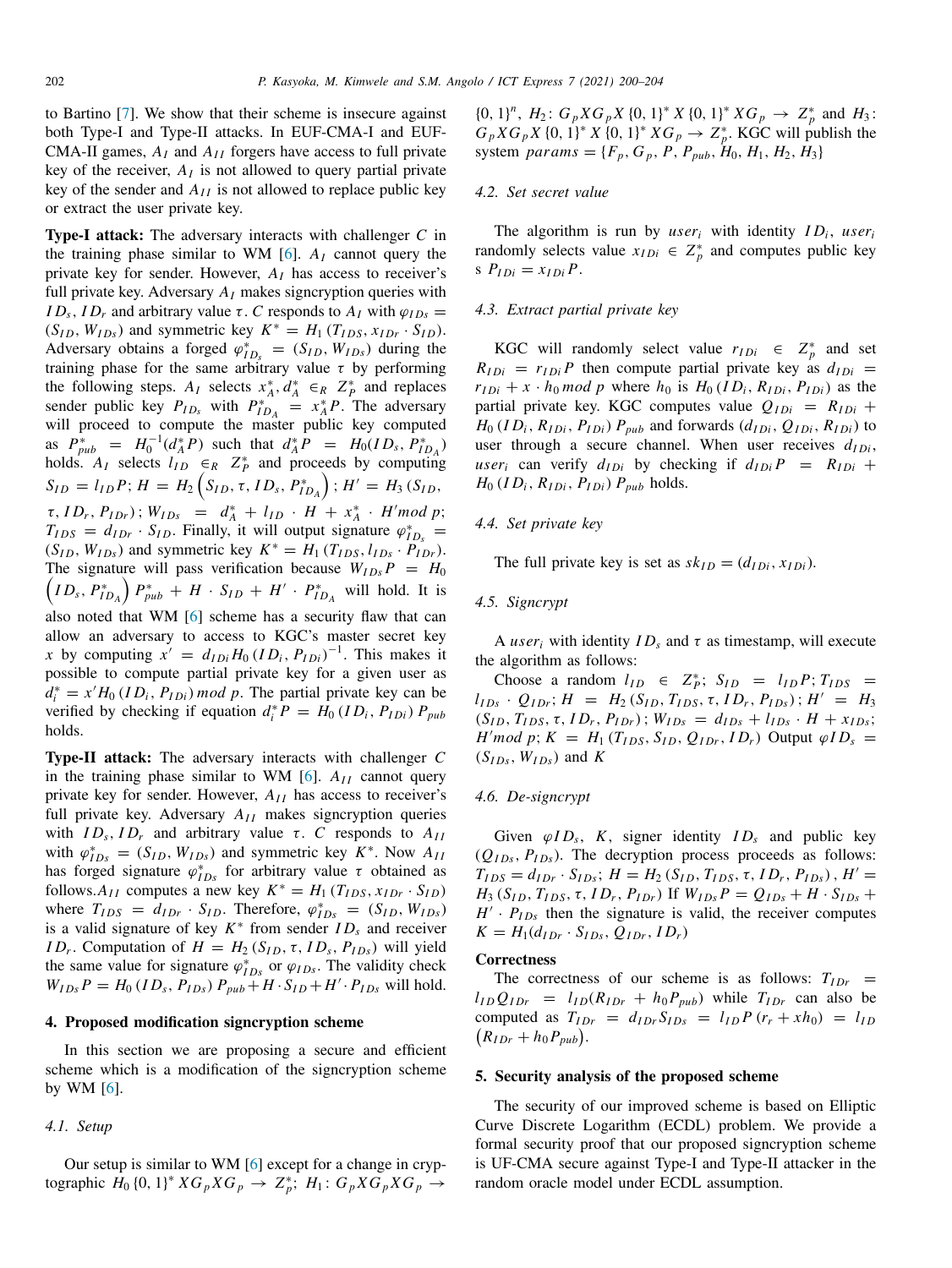to Bartino [\[7](#page-4-10)]. We show that their scheme is insecure against both Type-I and Type-II attacks. In EUF-CMA-I and EUF-CMA-II games,  $A_I$  and  $A_{II}$  forgers have access to full private key of the receiver,  $A_I$  is not allowed to query partial private key of the sender and  $A_{II}$  is not allowed to replace public key or extract the user private key.

Type-I attack: The adversary interacts with challenger *C* in the training phase similar to WM  $[6]$  $[6]$ .  $A<sub>I</sub>$  cannot query the private key for sender. However, *A<sup>I</sup>* has access to receiver's full private key. Adversary  $A_I$  makes signcryption queries with *ID<sub>s</sub>*, *ID<sub>r</sub>* and arbitrary value  $\tau$ . *C* responds to  $A_I$  with  $\varphi_{IDS}$  =  $(S_{ID}, W_{IDs})$  and symmetric key  $K^* = H_1(T_{IDS}, x_{IDr} \cdot S_{ID})$ . Adversary obtains a forged  $\varphi_{ID_s}^* = (S_{ID}, W_{IDs})$  during the training phase for the same arbitrary value  $\tau$  by performing the following steps.  $A_I$  selects  $x_A^*, d_A^* \in_R Z_P^*$  and replaces sender public key  $P_{ID_s}$  with  $P_{ID_A}^* = x_A^* P$ . The adversary will proceed to compute the master public key computed as  $P_{pub}^* = H_0^{-1}(d_A^* P)$  such that  $d_A^* P = H_0(ID_s, P_{ID_A}^*)$ holds.  $A_I$  selects  $\iint_{ID} \epsilon_R Z_P^*$  and proceeds by computing  $S_{ID} = l_{ID}P; H = H_2(S_{ID}, \tau, ID_s, P_{ID_A}^*)$ ;  $H' = H_3(S_{ID},$  $\tau$ , *ID<sub>r</sub>*, *P*<sub>*IDr</sub>*);  $W_{IDs} = d_A^* + l_{ID} \cdot H + x_A^* \cdot H' mod p;$ </sub>  $T_{IDS} = d_{IDr} \cdot S_{ID}$ . Finally, it will output signature  $\varphi_{ID_s}^* =$  $(S_{ID}, W_{IDs})$  and symmetric key  $K^* = H_1(T_{IDS}, l_{IDs} \cdot P_{IDr}).$ The signature will pass verification because  $W_{IDs}P = H_0$ <br>(*ID P*<sup>\*</sup> )  $P^* + H \cdot S_{ID} + H' \cdot P^*$  will hold It is  $ID_s$ ,  $P_{ID_A}^*$   $\Big\}$   $P_{pub}^*$  + *H* ·  $S_{ID}$  + *H'* ·  $P_{ID_A}^*$  will hold. It is also noted that WM [[6\]](#page-4-9) scheme has a security flaw that can allow an adversary to access to KGC's master secret key *x* by computing  $x' = d_{IDi} H_0 (ID_i, P_{IDi})^{-1}$ . This makes it possible to compute partial private key for a given user as  $d_i^* = x'H_0 (ID_i, P_{IDi}) \mod p$ . The partial private key can be verified by checking if equation  $d_i^* P = H_0 (ID_i, P_{IDi}) P_{pub}$ holds.

Type-II attack: The adversary interacts with challenger *C* in the training phase similar to WM  $[6]$  $[6]$ .  $A_{II}$  cannot query private key for sender. However,  $A_{II}$  has access to receiver's full private key. Adversary  $A_{II}$  makes signcryption queries with  $ID_s$ ,  $ID_r$  and arbitrary value  $\tau$ . *C* responds to  $A_{II}$ with  $\varphi_{IDs}^* = (S_{ID}, W_{IDs})$  and symmetric key  $K^*$ . Now  $A_{II}$ has forged signature  $\varphi_{IDs}^{*}$  for arbitrary value  $\tau$  obtained as follows. $A_{II}$  computes a new key  $K^* = H_1(T_{IDS}, x_{IDr} \cdot S_{ID})$ where  $T_{IDS} = d_{IDr} \cdot S_{ID}$ . Therefore,  $\varphi_{IDs}^* = (S_{ID}, W_{IDs})$ is a valid signature of key  $K^*$  from sender  $ID_s$  and receiver *ID<sub>r</sub>*. Computation of  $H = H_2(S_{ID}, \tau, ID_s, P_{IDs})$  will yield the same value for signature  $\varphi_{IDs}^*$  or  $\varphi_{IDs}$ . The validity check  $W_{IBs}P = H_0 (ID_s, P_{IBs}) P_{pub} + H \cdot S_{ID} + H' \cdot P_{IDs}$  will hold.

## <span id="page-2-0"></span>4. Proposed modification signcryption scheme

In this section we are proposing a secure and efficient scheme which is a modification of the signcryption scheme by WM  $[6]$  $[6]$ .

## <span id="page-2-1"></span>*4.1. Setup*

Our setup is similar to WM [\[6](#page-4-9)] except for a change in cryp- $\frac{1}{2}$  *k*  $\frac{1}{2}$  *k*  $\frac{1}{2}$  *k*  $\frac{1}{2}$  *k*  $\frac{1}{2}$  *k*  $\frac{1}{2}$  *k*  $\frac{1}{2}$  *k*  $\frac{1}{2}$  *k*  $\frac{1}{2}$  *k*  $\frac{1}{2}$  *k*  $\frac{1}{2}$  *k*  $\frac{1}{2}$  *k*  $\frac{1}{2}$  *k*  $\frac{1}{2}$  *k*  $\frac{1}{2}$  *k*  $\frac{1}{2}$  {0, 1}<sup>n</sup>,  $H_2$ :  $G_p X G_p X$  {0, 1}<sup>\*</sup>  $X$  {0, 1}<sup>\*</sup>  $X G_p \rightarrow Z_p^*$  and  $H_3$ :  $G_p X G_p X$  {0, 1}<sup>\*</sup>  $X$  {0, 1}<sup>\*</sup>  $X G_p \to Z_p^*$ . KGC will publish the system  $params = \{F_p, G_p, P, P_{pub}, H_0, H_1, H_2, H_3\}$ 

#### <span id="page-2-2"></span>*4.2. Set secret value*

The algorithm is run by *user<sub>i</sub>* with identity  $ID_i$ , *user<sub>i</sub>* randomly selects value  $x_{IDi} \in Z_p^*$  and computes public key  $P_{IDi} = x_{IDi} P$ .

## <span id="page-2-3"></span>*4.3. Extract partial private key*

KGC will randomly select value  $r_{IDi} \in Z_p^*$  and set  $R_{IDi} = r_{IDi}P$  then compute partial private key as  $d_{IDi}$  =  $r_{IDi} + x \cdot h_0 \mod p$  where  $h_0$  is  $H_0 (ID_i, R_{IDi}, P_{IDi})$  as the partial private key. KGC computes value  $Q_{IDi} = R_{IDi} +$  $H_0$  (*ID*<sub>*i*</sub>,  $R_{IDi}$ ,  $P_{IDi}$ )  $P_{pub}$  and forwards ( $d_{IDi}$ ,  $Q_{IDi}$ ,  $R_{IDi}$ ) to user through a secure channel. When user receives  $d_{IDi}$ , *user*<sup>*i*</sup> can verify  $d_{IDi}$  by checking if  $d_{IDi}P = R_{IDi} +$  $H_0$  ( $ID_i$ ,  $R_{IDi}$ ,  $P_{IDi}$ )  $P_{pub}$  holds.

#### <span id="page-2-4"></span>*4.4. Set private key*

The full private key is set as  $sk_{ID} = (d_{IDi}, x_{IDi})$ .

#### <span id="page-2-5"></span>*4.5. Signcrypt*

A *user*<sub>*i*</sub> with identity  $ID_s$  and  $\tau$  as timestamp, will execute the algorithm as follows:

Choose a random  $l_{ID} \in Z_P^*$ ;  $S_{ID} = l_{ID} P$ ;  $T_{IDS}$  $l_{IDs}$  ·  $Q_{IDr}$ ;  $H = H_2(S_{ID}, T_{IDS}, \tau, ID_r, P_{IDs})$ ;  $H' = H_3$  $(S_{ID}, T_{IDS}, \tau, ID_r, P_{IDr})$ ;  $W_{IDs} = d_{IDs} + l_{IDs} \cdot H + x_{IDs}$ ;  $H'mod\ p$ ;  $K = H_1(T_{IDS}, S_{ID}, Q_{IDr}, ID_r)$  Output  $\varphi ID_s =$  $(S<sub>IDs</sub>, W<sub>IDs</sub>)$  and  $K$ 

## <span id="page-2-6"></span>*4.6. De-signcrypt*

Given  $\varphi I D_s$ , *K*, signer identity  $ID_s$  and public key  $(Q<sub>IDs</sub>, P<sub>IDs</sub>)$ . The decryption process proceeds as follows:  $T_{IDS} = d_{IDr} \cdot S_{IDS};$   $H = H_2(S_{ID}, T_{IDS}, \tau, ID_r, P_{IDs}),$   $H' =$  $H_3$  (*S*<sub>*ID*</sub>, *T*<sub>*IDS*</sub>, *τ*, *ID<sub>r</sub>*, *P*<sub>*IDr*</sub>) If  $W_{1Ds}P = Q_{1Ds} + H \cdot S_{1Ds} +$  $H' \cdot P_{IDs}$  then the signature is valid, the receiver computes  $K = H_1(d_{IDr} \cdot S_{IDs}, Q_{IDr}, ID_r)$ 

## **Correctness**

The correctness of our scheme is as follows:  $T_{IDr}$  =  $l_{ID}Q_{IDr} = l_{ID}(R_{IDr} + h_0P_{pub})$  while  $T_{IDr}$  can also be computed as  $T_{IDr} = d_{IDr} S_{IDs} = l_{ID} P (r_r + x h_0) = l_{ID}$  $(R_{IDr} + h_0 P_{pub}).$ 

## <span id="page-2-7"></span>5. Security analysis of the proposed scheme

The security of our improved scheme is based on Elliptic Curve Discrete Logarithm (ECDL) problem. We provide a formal security proof that our proposed signcryption scheme is UF-CMA secure against Type-I and Type-II attacker in the random oracle model under ECDL assumption.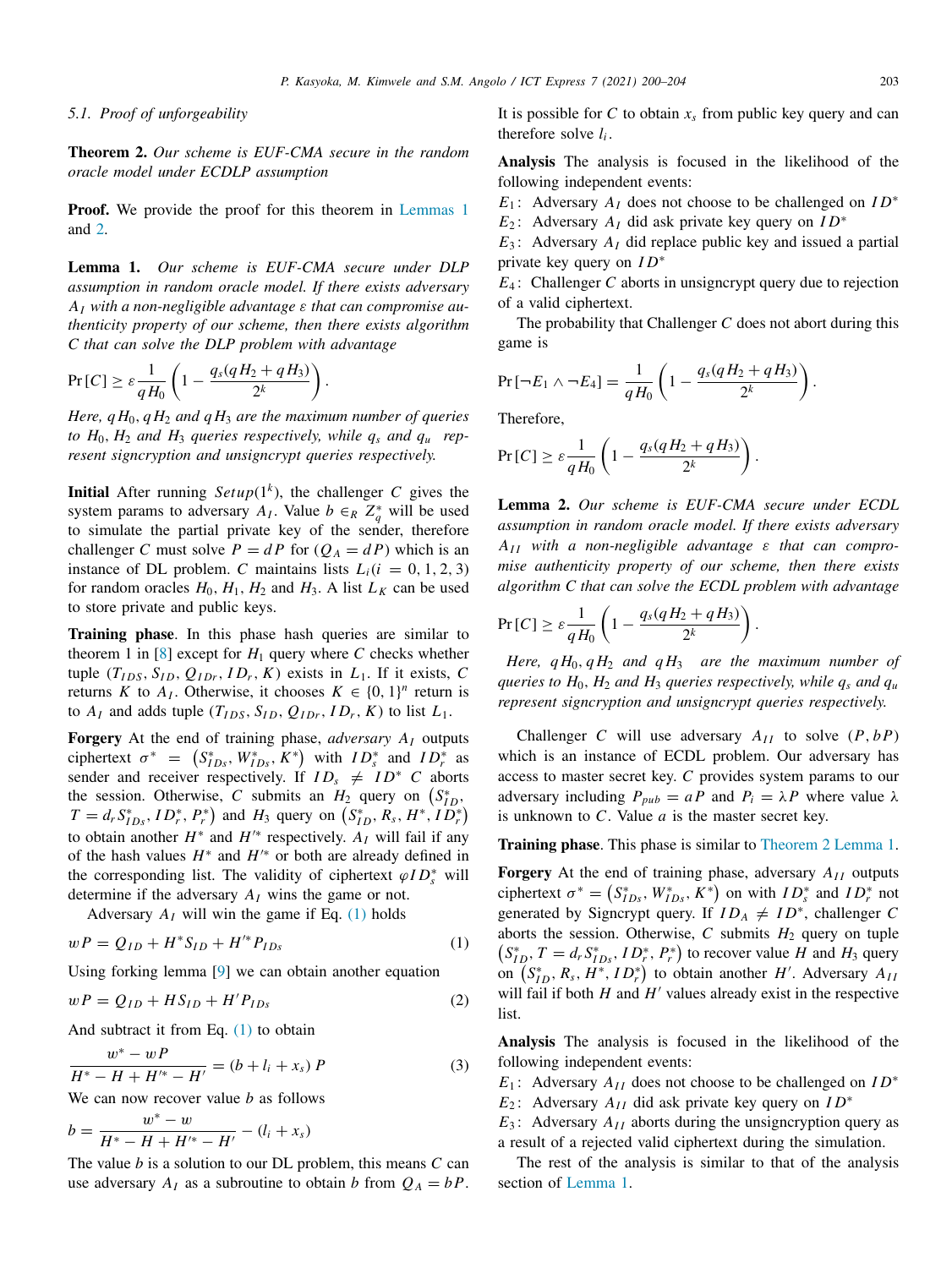#### <span id="page-3-0"></span>*5.1. Proof of unforgeability*

<span id="page-3-4"></span>Theorem 2. *Our scheme is EUF-CMA secure in the random oracle model under ECDLP assumption*

**Proof.** We provide the proof for this theorem in [Lemmas](#page-3-1) [1](#page-3-1) and [2](#page-3-2).

<span id="page-3-1"></span>Lemma 1. *Our scheme is EUF-CMA secure under DLP assumption in random oracle model. If there exists adversary A<sup>I</sup> with a non-negligible advantage* ε *that can compromise authenticity property of our scheme, then there exists algorithm C that can solve the DLP problem with advantage*

$$
Pr[C] \ge \varepsilon \frac{1}{qH_0} \left( 1 - \frac{q_s(qH_2 + qH_3)}{2^k} \right)
$$

*Here,*  $qH_0$ *,*  $qH_2$  *and*  $qH_3$  *are the maximum number of queries to*  $H_0$ ,  $H_2$  *and*  $H_3$  *queries respectively, while*  $q_s$  *and*  $q_u$  *represent signcryption and unsigncrypt queries respectively.*

.

**Initial** After running  $Setup(1^k)$ , the challenger *C* gives the system params to adversary  $A_I$ . Value  $b \in_R Z_q^*$  will be used to simulate the partial private key of the sender, therefore challenger *C* must solve  $P = dP$  for  $(Q_A = dP)$  which is an instance of DL problem. *C* maintains lists  $L_i(i = 0, 1, 2, 3)$ for random oracles  $H_0$ ,  $H_1$ ,  $H_2$  and  $H_3$ . A list  $L_K$  can be used to store private and public keys.

Training phase. In this phase hash queries are similar to theorem 1 in  $[8]$  $[8]$  except for  $H_1$  query where C checks whether tuple  $(T_{IDS}, S_{ID}, Q_{IDr}, ID_r, K)$  exists in  $L_1$ . If it exists, C returns *K* to  $A_I$ . Otherwise, it chooses  $K \in \{0, 1\}^n$  return is to  $A_I$  and adds tuple  $(T_{IDS}, S_{ID}, Q_{IDr}, ID_r, K)$  to list  $L_1$ .

Forgery At the end of training phase, *adversary A<sup>I</sup>* outputs ciphertext  $\sigma^* = (S_{IDs}^*, W_{IDs}^*, K^*)$  with  $ID_s^*$  and  $ID_r^*$  as sender and receiver respectively. If  $ID_s \neq ID^*$  *C* aborts the session. Otherwise, *C* submits an  $H_2$  query on  $(S_{ID}^*$ ,  $T = d_r S_{IDs}^*$ ,  $ID_r^*$ ,  $P_r^*$ ) and  $H_3$  query on  $(S_{ID}^*, R_s, H^*, ID_r^*)$ to obtain another  $H^*$  and  $H'^*$  respectively.  $A_I$  will fail if any of the hash values  $H^*$  and  $H'^*$  or both are already defined in the corresponding list. The validity of ciphertext  $\varphi ID_s^*$  will determine if the adversary *A<sup>I</sup>* wins the game or not.

Adversary  $A_I$  will win the game if Eq. [\(1\)](#page-3-3) holds

$$
wP = Q_{ID} + H^*S_{ID} + H'^*P_{IDs}
$$
 (1)

Using forking lemma [\[9](#page-4-12)] we can obtain another equation

$$
wP = Q_{ID} + HS_{ID} + H'P_{IDs}
$$
 (2)

And subtract it from Eq.  $(1)$  $(1)$  to obtain

$$
\frac{w^* - wP}{H^* - H + H'^* - H'} = (b + l_i + x_s) P
$$
 (3)

We can now recover value *b* as follows

$$
b = \frac{w^* - w}{H^* - H + H'^* - H'} - (l_i + x_s)
$$

The value *b* is a solution to our DL problem, this means *C* can use adversary  $A_I$  as a subroutine to obtain *b* from  $Q_A = bP$ . It is possible for  $C$  to obtain  $x<sub>s</sub>$  from public key query and can therefore solve  $l_i$ .

Analysis The analysis is focused in the likelihood of the following independent events:

*E*<sup>1</sup> : Adversary *A<sup>I</sup>* does not choose to be challenged on *I D*<sup>∗</sup> *E*<sup>2</sup> : Adversary *A<sup>I</sup>* did ask private key query on *I D*<sup>∗</sup>

*E*<sup>3</sup> : Adversary *A<sup>I</sup>* did replace public key and issued a partial private key query on *I D*<sup>∗</sup>

*E*<sup>4</sup> : Challenger *C* aborts in unsigncrypt query due to rejection of a valid ciphertext.

The probability that Challenger *C* does not abort during this game is

$$
Pr[-E_1 \wedge \neg E_4] = \frac{1}{qH_0} \left( 1 - \frac{q_s(qH_2 + qH_3)}{2^k} \right).
$$

Therefore,

$$
Pr[C] \ge \varepsilon \frac{1}{qH_0} \left( 1 - \frac{q_s(qH_2 + qH_3)}{2^k} \right).
$$

<span id="page-3-2"></span>Lemma 2. *Our scheme is EUF-CMA secure under ECDL assumption in random oracle model. If there exists adversary AI I with a non-negligible advantage* ε *that can compromise authenticity property of our scheme, then there exists algorithm C that can solve the ECDL problem with advantage*

$$
Pr[C] \ge \varepsilon \frac{1}{qH_0} \left( 1 - \frac{q_s(qH_2 + qH_3)}{2^k} \right).
$$

*Here,*  $qH_0$ *,*  $qH_2$  *and*  $qH_3$  *are the maximum number of queries to H*0, *H*<sup>2</sup> *and H*<sup>3</sup> *queries respectively, while q<sup>s</sup> and q<sup>u</sup> represent signcryption and unsigncrypt queries respectively.*

Challenger *C* will use adversary  $A_{II}$  to solve  $(P, bP)$ which is an instance of ECDL problem. Our adversary has access to master secret key. *C* provides system params to our adversary including  $P_{pub} = aP$  and  $P_i = \lambda P$  where value  $\lambda$ is unknown to *C*. Value *a* is the master secret key.

Training phase. This phase is similar to [Theorem](#page-3-4) [2](#page-3-4) [Lemma](#page-3-1) [1](#page-3-1).

<span id="page-3-3"></span>Forgery At the end of training phase, adversary  $A_{II}$  outputs ciphertext  $\sigma^* = (S_{IDs}^*, W_{IDs}^*, K^*)$  on with  $ID_s^*$  and  $ID_r^*$  not generated by Signcrypt query. If  $ID_A \neq ID^*$ , challenger *C* aborts the session. Otherwise,  $C$  submits  $H_2$  query on tuple  $(S_{ID}^*, T = d_r S_{ID_s}^*, ID_r^*, P_r^*)$  to recover value *H* and *H*<sub>3</sub> query on  $(S_{ID}^*, R_s, H^*, ID_r^*)$  to obtain another *H'*. Adversary  $A_{II}$ will fail if both  $H$  and  $H'$  values already exist in the respective list.

Analysis The analysis is focused in the likelihood of the following independent events:

*E*<sub>1</sub> : Adversary *A*<sub>*II*</sub> does not choose to be challenged on *ID*<sup>∗</sup>

*E*<sup>2</sup> : Adversary *AI I* did ask private key query on *I D*<sup>∗</sup>

 $E_3$ : Adversary  $A_{II}$  aborts during the unsigncryption query as a result of a rejected valid ciphertext during the simulation.

The rest of the analysis is similar to that of the analysis section of [Lemma](#page-3-1) [1](#page-3-1).